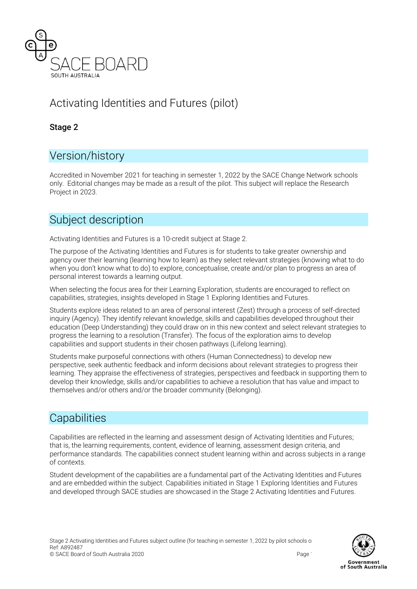

# Activating Identities and Futures (pilot)

### Stage 2

# Version/history

Accredited in November 2021 for teaching in semester 1, 2022 by the SACE Change Network schools only. Editorial changes may be made as a result of the pilot. This subject will replace the Research Project in 2023.

# Subject description

Activating Identities and Futures is a 10-credit subject at Stage 2.

The purpose of the Activating Identities and Futures is for students to take greater ownership and agency over their learning (learning how to learn) as they select relevant strategies (knowing what to do when you don't know what to do) to explore, conceptualise, create and/or plan to progress an area of personal interest towards a learning output.

When selecting the focus area for their Learning Exploration, students are encouraged to reflect on capabilities, strategies, insights developed in Stage 1 Exploring Identities and Futures.

Students explore ideas related to an area of personal interest (Zest) through a process of self-directed inquiry (Agency). They identify relevant knowledge, skills and capabilities developed throughout their education (Deep Understanding) they could draw on in this new context and select relevant strategies to progress the learning to a resolution (Transfer). The focus of the exploration aims to develop capabilities and support students in their chosen pathways (Lifelong learning).

Students make purposeful connections with others (Human Connectedness) to develop new perspective, seek authentic feedback and inform decisions about relevant strategies to progress their learning. They appraise the effectiveness of strategies, perspectives and feedback in supporting them to develop their knowledge, skills and/or capabilities to achieve a resolution that has value and impact to themselves and/or others and/or the broader community (Belonging).

# **Capabilities**

Capabilities are reflected in the learning and assessment design of Activating Identities and Futures; that is, the learning requirements, content, evidence of learning, assessment design criteria, and performance standards. The capabilities connect student learning within and across subjects in a range of contexts.

Student development of the capabilities are a fundamental part of the Activating Identities and Futures and are embedded within the subject. Capabilities initiated in Stage 1 Exploring Identities and Futures and developed through SACE studies are showcased in the Stage 2 Activating Identities and Futures.

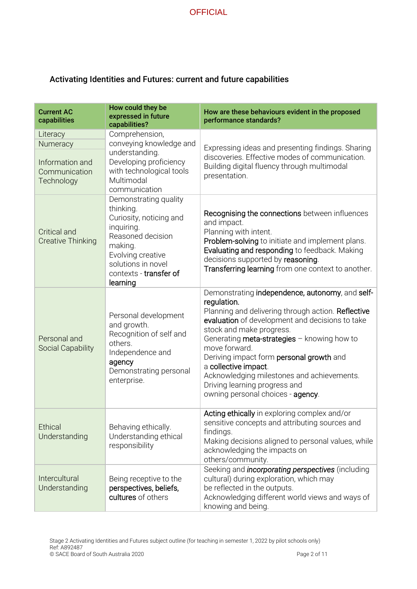### Activating Identities and Futures: current and future capabilities

| <b>Current AC</b><br>capabilities                                      | How could they be<br>expressed in future<br>capabilities?                                                                                                                                    | How are these behaviours evident in the proposed<br>performance standards?                                                                                                                                                                                                                                                                                                                                                                                  |
|------------------------------------------------------------------------|----------------------------------------------------------------------------------------------------------------------------------------------------------------------------------------------|-------------------------------------------------------------------------------------------------------------------------------------------------------------------------------------------------------------------------------------------------------------------------------------------------------------------------------------------------------------------------------------------------------------------------------------------------------------|
| Literacy<br>Numeracy<br>Information and<br>Communication<br>Technology | Comprehension,<br>conveying knowledge and<br>understanding.<br>Developing proficiency<br>with technological tools<br>Multimodal<br>communication                                             | Expressing ideas and presenting findings. Sharing<br>discoveries. Effective modes of communication.<br>Building digital fluency through multimodal<br>presentation.                                                                                                                                                                                                                                                                                         |
| <b>Critical and</b><br><b>Creative Thinking</b>                        | Demonstrating quality<br>thinking.<br>Curiosity, noticing and<br>inquiring.<br>Reasoned decision<br>making.<br>Evolving creative<br>solutions in novel<br>contexts - transfer of<br>learning | Recognising the connections between influences<br>and impact.<br>Planning with intent.<br>Problem-solving to initiate and implement plans.<br>Evaluating and responding to feedback. Making<br>decisions supported by reasoning.<br>Transferring learning from one context to another.                                                                                                                                                                      |
| Personal and<br><b>Social Capability</b>                               | Personal development<br>and growth.<br>Recognition of self and<br>others.<br>Independence and<br>agency<br>Demonstrating personal<br>enterprise.                                             | Demonstrating independence, autonomy, and self-<br>regulation.<br>Planning and delivering through action. Reflective<br>evaluation of development and decisions to take<br>stock and make progress.<br>Generating meta-strategies - knowing how to<br>move forward.<br>Deriving impact form personal growth and<br>a collective impact.<br>Acknowledging milestones and achievements.<br>Driving learning progress and<br>owning personal choices - agency. |
| <b>Ethical</b><br>Understanding                                        | Behaving ethically.<br>Understanding ethical<br>responsibility                                                                                                                               | Acting ethically in exploring complex and/or<br>sensitive concepts and attributing sources and<br>findings.<br>Making decisions aligned to personal values, while<br>acknowledging the impacts on<br>others/community.                                                                                                                                                                                                                                      |
| Intercultural<br>Understanding                                         | Being receptive to the<br>perspectives, beliefs,<br>cultures of others                                                                                                                       | Seeking and <i>incorporating perspectives</i> (including<br>cultural) during exploration, which may<br>be reflected in the outputs.<br>Acknowledging different world views and ways of<br>knowing and being.                                                                                                                                                                                                                                                |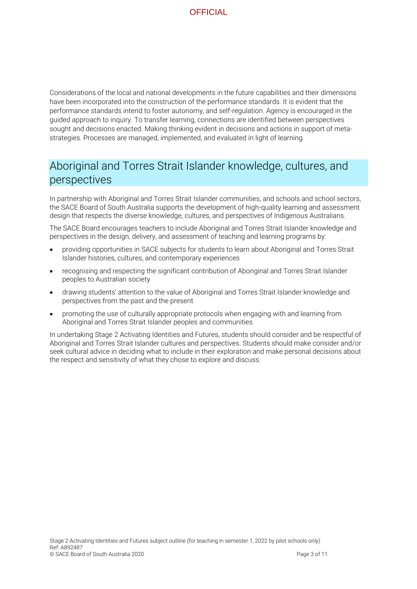Considerations of the local and national developments in the future capabilities and their dimensions have been incorporated into the construction of the performance standards. It is evident that the performance standards intend to foster autonomy, and self-regulation. Agency is encouraged in the guided approach to inquiry. To transfer learning, connections are identified between perspectives sought and decisions enacted. Making thinking evident in decisions and actions in support of metastrategies. Processes are managed, implemented, and evaluated in light of learning.

# Aboriginal and Torres Strait Islander knowledge, cultures, and perspectives

In partnership with Aboriginal and Torres Strait Islander communities, and schools and school sectors, the SACE Board of South Australia supports the development of high-quality learning and assessment design that respects the diverse knowledge, cultures, and perspectives of Indigenous Australians.

The SACE Board encourages teachers to include Aboriginal and Torres Strait Islander knowledge and perspectives in the design, delivery, and assessment of teaching and learning programs by:

- providing opportunities in SACE subjects for students to learn about Aboriginal and Torres Strait Islander histories, cultures, and contemporary experiences
- recognising and respecting the significant contribution of Aboriginal and Torres Strait Islander peoples to Australian society
- drawing students' attention to the value of Aboriginal and Torres Strait Islander knowledge and perspectives from the past and the present
- promoting the use of culturally appropriate protocols when engaging with and learning from Aboriginal and Torres Strait Islander peoples and communities

In undertaking Stage 2 Activating Identities and Futures, students should consider and be respectful of Aboriginal and Torres Strait Islander cultures and perspectives. Students should make consider and/or seek cultural advice in deciding what to include in their exploration and make personal decisions about the respect and sensitivity of what they chose to explore and discuss.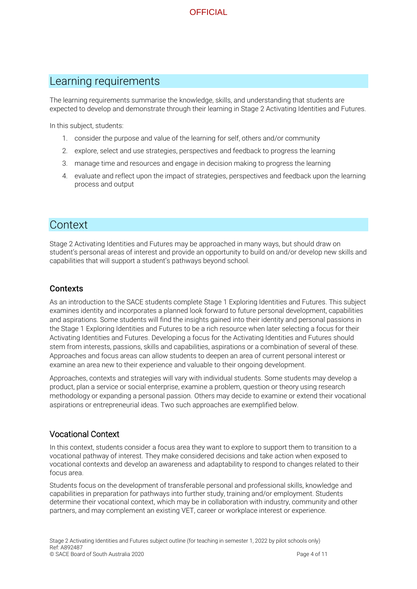## Learning requirements

The learning requirements summarise the knowledge, skills, and understanding that students are expected to develop and demonstrate through their learning in Stage 2 Activating Identities and Futures.

In this subject, students:

- 1. consider the purpose and value of the learning for self, others and/or community
- 2. explore, select and use strategies, perspectives and feedback to progress the learning
- 3. manage time and resources and engage in decision making to progress the learning
- 4. evaluate and reflect upon the impact of strategies, perspectives and feedback upon the learning process and output

## Context

Stage 2 Activating Identities and Futures may be approached in many ways, but should draw on student's personal areas of interest and provide an opportunity to build on and/or develop new skills and capabilities that will support a student's pathways beyond school.

#### **Contexts**

As an introduction to the SACE students complete Stage 1 Exploring Identities and Futures. This subject examines identity and incorporates a planned look forward to future personal development, capabilities and aspirations. Some students will find the insights gained into their identity and personal passions in the Stage 1 Exploring Identities and Futures to be a rich resource when later selecting a focus for their Activating Identities and Futures. Developing a focus for the Activating Identities and Futures should stem from interests, passions, skills and capabilities, aspirations or a combination of several of these. Approaches and focus areas can allow students to deepen an area of current personal interest or examine an area new to their experience and valuable to their ongoing development.

Approaches, contexts and strategies will vary with individual students. Some students may develop a product, plan a service or social enterprise, examine a problem, question or theory using research methodology or expanding a personal passion. Others may decide to examine or extend their vocational aspirations or entrepreneurial ideas. Two such approaches are exemplified below.

#### Vocational Context

In this context, students consider a focus area they want to explore to support them to transition to a vocational pathway of interest. They make considered decisions and take action when exposed to vocational contexts and develop an awareness and adaptability to respond to changes related to their focus area.

Students focus on the development of transferable personal and professional skills, knowledge and capabilities in preparation for pathways into further study, training and/or employment. Students determine their vocational context, which may be in collaboration with industry, community and other partners, and may complement an existing VET, career or workplace interest or experience.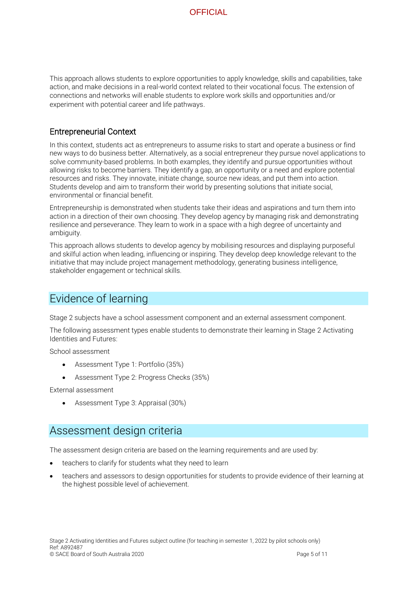This approach allows students to explore opportunities to apply knowledge, skills and capabilities, take action, and make decisions in a real-world context related to their vocational focus. The extension of connections and networks will enable students to explore work skills and opportunities and/or experiment with potential career and life pathways.

#### Entrepreneurial Context

In this context, students act as entrepreneurs to assume risks to start and operate a business or find new ways to do business better. Alternatively, as a social entrepreneur they pursue novel applications to solve community-based problems. In both examples, they identify and pursue opportunities without allowing risks to become barriers. They identify a gap, an opportunity or a need and explore potential resources and risks. They innovate, initiate change, source new ideas, and put them into action. Students develop and aim to transform their world by presenting solutions that initiate social, environmental or financial benefit.

Entrepreneurship is demonstrated when students take their ideas and aspirations and turn them into action in a direction of their own choosing. They develop agency by managing risk and demonstrating resilience and perseverance. They learn to work in a space with a high degree of uncertainty and ambiguity.

This approach allows students to develop agency by mobilising resources and displaying purposeful and skilful action when leading, influencing or inspiring. They develop deep knowledge relevant to the initiative that may include project management methodology, generating business intelligence, stakeholder engagement or technical skills.

## Evidence of learning

Stage 2 subjects have a school assessment component and an external assessment component.

The following assessment types enable students to demonstrate their learning in Stage 2 Activating Identities and Futures:

School assessment

- Assessment Type 1: Portfolio (35%)
- Assessment Type 2: Progress Checks (35%)

External assessment

• Assessment Type 3: Appraisal (30%)

## Assessment design criteria

The assessment design criteria are based on the learning requirements and are used by:

- teachers to clarify for students what they need to learn
- teachers and assessors to design opportunities for students to provide evidence of their learning at the highest possible level of achievement.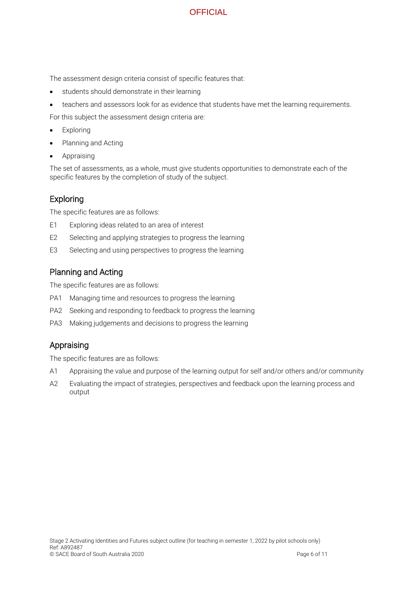The assessment design criteria consist of specific features that:

- students should demonstrate in their learning
- teachers and assessors look for as evidence that students have met the learning requirements.

For this subject the assessment design criteria are:

- **Exploring**
- Planning and Acting
- **Appraising**

The set of assessments, as a whole, must give students opportunities to demonstrate each of the specific features by the completion of study of the subject.

### Exploring

The specific features are as follows:

- E1 Exploring ideas related to an area of interest
- E2 Selecting and applying strategies to progress the learning
- E3 Selecting and using perspectives to progress the learning

## Planning and Acting

The specific features are as follows:

- PA1 Managing time and resources to progress the learning
- PA2 Seeking and responding to feedback to progress the learning
- PA3 Making judgements and decisions to progress the learning

#### Appraising

The specific features are as follows:

- A1 Appraising the value and purpose of the learning output for self and/or others and/or community
- A2 Evaluating the impact of strategies, perspectives and feedback upon the learning process and output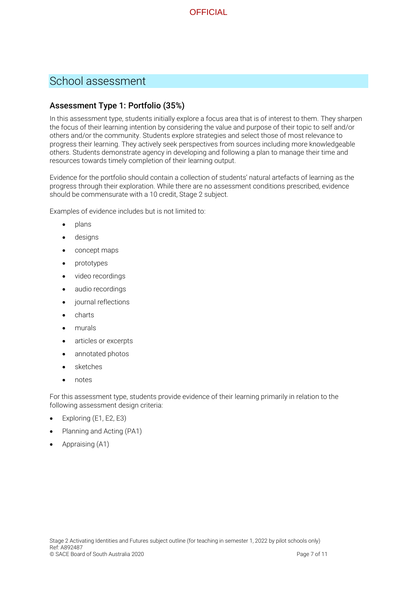

# School assessment

#### Assessment Type 1: Portfolio (35%)

In this assessment type, students initially explore a focus area that is of interest to them. They sharpen the focus of their learning intention by considering the value and purpose of their topic to self and/or others and/or the community. Students explore strategies and select those of most relevance to progress their learning. They actively seek perspectives from sources including more knowledgeable others. Students demonstrate agency in developing and following a plan to manage their time and resources towards timely completion of their learning output.

Evidence for the portfolio should contain a collection of students' natural artefacts of learning as the progress through their exploration. While there are no assessment conditions prescribed, evidence should be commensurate with a 10 credit, Stage 2 subject.

Examples of evidence includes but is not limited to:

- plans
- designs
- concept maps
- prototypes
- video recordings
- audio recordings
- journal reflections
- charts
- murals
- articles or excerpts
- annotated photos
- **sketches**
- notes

For this assessment type, students provide evidence of their learning primarily in relation to the following assessment design criteria:

- Exploring (E1, E2, E3)
- Planning and Acting (PA1)
- Appraising (A1)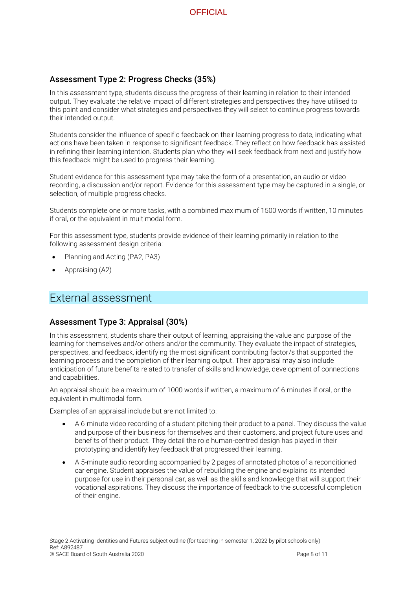

#### Assessment Type 2: Progress Checks (35%)

In this assessment type, students discuss the progress of their learning in relation to their intended output. They evaluate the relative impact of different strategies and perspectives they have utilised to this point and consider what strategies and perspectives they will select to continue progress towards their intended output.

Students consider the influence of specific feedback on their learning progress to date, indicating what actions have been taken in response to significant feedback. They reflect on how feedback has assisted in refining their learning intention. Students plan who they will seek feedback from next and justify how this feedback might be used to progress their learning.

Student evidence for this assessment type may take the form of a presentation, an audio or video recording, a discussion and/or report. Evidence for this assessment type may be captured in a single, or selection, of multiple progress checks.

Students complete one or more tasks, with a combined maximum of 1500 words if written, 10 minutes if oral, or the equivalent in multimodal form.

For this assessment type, students provide evidence of their learning primarily in relation to the following assessment design criteria:

- Planning and Acting (PA2, PA3)
- Appraising (A2)

## External assessment

#### Assessment Type 3: Appraisal (30%)

In this assessment, students share their output of learning, appraising the value and purpose of the learning for themselves and/or others and/or the community. They evaluate the impact of strategies, perspectives, and feedback, identifying the most significant contributing factor/s that supported the learning process and the completion of their learning output. Their appraisal may also include anticipation of future benefits related to transfer of skills and knowledge, development of connections and capabilities.

An appraisal should be a maximum of 1000 words if written, a maximum of 6 minutes if oral, or the equivalent in multimodal form.

Examples of an appraisal include but are not limited to:

- A 6-minute video recording of a student pitching their product to a panel. They discuss the value and purpose of their business for themselves and their customers, and project future uses and benefits of their product. They detail the role human-centred design has played in their prototyping and identify key feedback that progressed their learning.
- A 5-minute audio recording accompanied by 2 pages of annotated photos of a reconditioned car engine. Student appraises the value of rebuilding the engine and explains its intended purpose for use in their personal car, as well as the skills and knowledge that will support their vocational aspirations. They discuss the importance of feedback to the successful completion of their engine.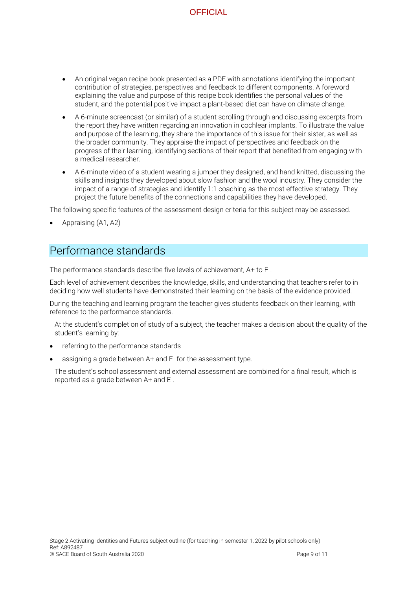- An original vegan recipe book presented as a PDF with annotations identifying the important contribution of strategies, perspectives and feedback to different components. A foreword explaining the value and purpose of this recipe book identifies the personal values of the student, and the potential positive impact a plant-based diet can have on climate change.
- A 6-minute screencast (or similar) of a student scrolling through and discussing excerpts from the report they have written regarding an innovation in cochlear implants. To illustrate the value and purpose of the learning, they share the importance of this issue for their sister, as well as the broader community. They appraise the impact of perspectives and feedback on the progress of their learning, identifying sections of their report that benefited from engaging with a medical researcher.
- A 6-minute video of a student wearing a jumper they designed, and hand knitted, discussing the skills and insights they developed about slow fashion and the wool industry. They consider the impact of a range of strategies and identify 1:1 coaching as the most effective strategy. They project the future benefits of the connections and capabilities they have developed.

The following specific features of the assessment design criteria for this subject may be assessed.

• Appraising (A1, A2)

## Performance standards

The performance standards describe five levels of achievement, A+ to E-.

Each level of achievement describes the knowledge, skills, and understanding that teachers refer to in deciding how well students have demonstrated their learning on the basis of the evidence provided.

During the teaching and learning program the teacher gives students feedback on their learning, with reference to the performance standards.

At the student's completion of study of a subject, the teacher makes a decision about the quality of the student's learning by:

- referring to the performance standards
- assigning a grade between A+ and E- for the assessment type.

The student's school assessment and external assessment are combined for a final result, which is reported as a grade between A+ and E-.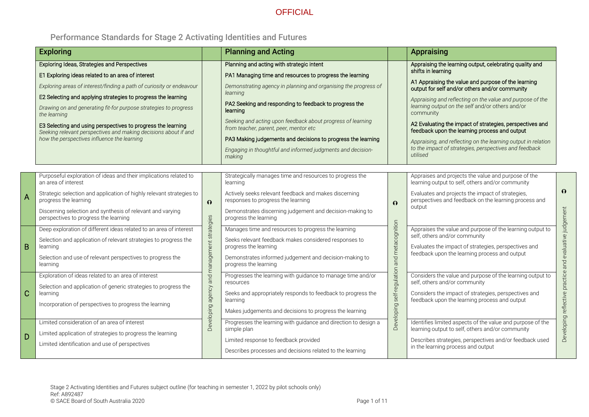# Performance Standards for Stage 2 Activating Identities and Futures

|   | <b>Exploring</b>                                                                                                                                                                                                                                                                                                                                                                                                                                                                                                        |                                                         | <b>Planning and Acting</b>                                                                                                                                                                                                                                                                                                                                                                                                                                                                                   |                                                             | <b>Appraising</b>                                                                                                                                                                                                                                                                                                                                                                                                                                                                                                                                                        |                                                                  |
|---|-------------------------------------------------------------------------------------------------------------------------------------------------------------------------------------------------------------------------------------------------------------------------------------------------------------------------------------------------------------------------------------------------------------------------------------------------------------------------------------------------------------------------|---------------------------------------------------------|--------------------------------------------------------------------------------------------------------------------------------------------------------------------------------------------------------------------------------------------------------------------------------------------------------------------------------------------------------------------------------------------------------------------------------------------------------------------------------------------------------------|-------------------------------------------------------------|--------------------------------------------------------------------------------------------------------------------------------------------------------------------------------------------------------------------------------------------------------------------------------------------------------------------------------------------------------------------------------------------------------------------------------------------------------------------------------------------------------------------------------------------------------------------------|------------------------------------------------------------------|
|   | <b>Exploring Ideas, Strategies and Perspectives</b><br>E1 Exploring ideas related to an area of interest<br>Exploring areas of interest/finding a path of curiosity or endeavour<br>E2 Selecting and applying strategies to progress the learning<br>Drawing on and generating fit-for purpose strategies to progress<br>the learning<br>E3 Selecting and using perspectives to progress the learning<br>Seeking relevant perspectives and making decisions about if and<br>how the perspectives influence the learning |                                                         | Planning and acting with strategic intent<br>PA1 Managing time and resources to progress the learning<br>Demonstrating agency in planning and organising the progress of<br>learning<br>PA2 Seeking and responding to feedback to progress the<br>learning<br>Seeking and acting upon feedback about progress of learning<br>from teacher, parent, peer, mentor etc<br>PA3 Making judgements and decisions to progress the learning<br>Engaging in thoughtful and informed judgments and decision-<br>making |                                                             | Appraising the learning output, celebrating quality and<br>shifts in learning<br>A1 Appraising the value and purpose of the learning<br>output for self and/or others and/or community<br>Appraising and reflecting on the value and purpose of the<br>learning output on the self and/or others and/or<br>community<br>A2 Evaluating the impact of strategies, perspectives and<br>feedback upon the learning process and output<br>Appraising, and reflecting on the learning output in relation<br>to the impact of strategies, perspectives and feedback<br>utilised |                                                                  |
| A | Purposeful exploration of ideas and their implications related to<br>an area of interest<br>Strategic selection and application of highly relevant strategies to<br>progress the learning<br>Discerning selection and synthesis of relevant and varying<br>perspectives to progress the learning                                                                                                                                                                                                                        | $\Omega$<br>Developing agency and management strategies | Strategically manages time and resources to progress the<br>learning<br>Actively seeks relevant feedback and makes discerning<br>responses to progress the learning<br>Demonstrates discerning judgement and decision-making to<br>progress the learning                                                                                                                                                                                                                                                     | $\Omega$<br>and metacognition<br>Developing self-regulation | Appraises and projects the value and purpose of the<br>learning output to self, others and/or community<br>Evaluates and projects the impact of strategies,<br>perspectives and feedback on the learning process and<br>output                                                                                                                                                                                                                                                                                                                                           | $\Omega$                                                         |
| B | Deep exploration of different ideas related to an area of interest<br>Selection and application of relevant strategies to progress the<br>learning<br>Selection and use of relevant perspectives to progress the<br>learning<br>Exploration of ideas related to an area of interest                                                                                                                                                                                                                                     |                                                         | Manages time and resources to progress the learning<br>Seeks relevant feedback makes considered responses to<br>progress the learning<br>Demonstrates informed judgement and decision-making to<br>progress the learning<br>Progresses the learning with guidance to manage time and/or                                                                                                                                                                                                                      |                                                             | Appraises the value and purpose of the learning output to<br>self, others and/or community<br>Evaluates the impact of strategies, perspectives and<br>feedback upon the learning process and output<br>Considers the value and purpose of the learning output to                                                                                                                                                                                                                                                                                                         | evaluative judgement<br>and<br>reflective practice<br>Developing |
| Ć | Selection and application of generic strategies to progress the<br>learning<br>Incorporation of perspectives to progress the learning                                                                                                                                                                                                                                                                                                                                                                                   |                                                         | resources<br>Seeks and appropriately responds to feedback to progress the<br>learning<br>Makes judgements and decisions to progress the learning                                                                                                                                                                                                                                                                                                                                                             |                                                             | self, others and/or community<br>Considers the impact of strategies, perspectives and<br>feedback upon the learning process and output                                                                                                                                                                                                                                                                                                                                                                                                                                   |                                                                  |
| D | Limited consideration of an area of interest<br>Limited application of strategies to progress the learning<br>Limited identification and use of perspectives                                                                                                                                                                                                                                                                                                                                                            |                                                         | Progresses the learning with guidance and direction to design a<br>simple plan<br>Limited response to feedback provided<br>Describes processes and decisions related to the learning                                                                                                                                                                                                                                                                                                                         |                                                             | Identifies limited aspects of the value and purpose of the<br>learning output to self, others and/or community<br>Describes strategies, perspectives and/or feedback used<br>in the learning process and output                                                                                                                                                                                                                                                                                                                                                          |                                                                  |